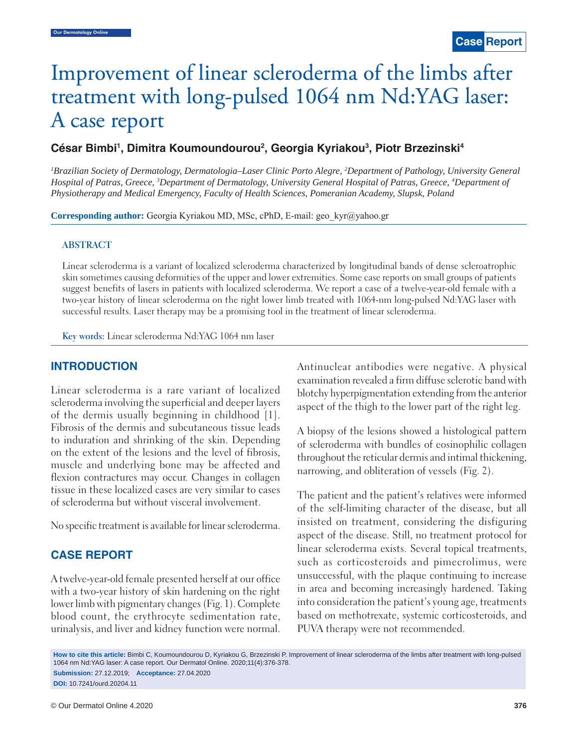# Improvement of linear scleroderma of the limbs after treatment with long-pulsed 1064 nm Nd:YAG laser: A case report

# César Bimbi<sup>1</sup>, Dimitra Koumoundourou<sup>2</sup>, Georgia Kyriakou<sup>3</sup>, Piotr Brzezinski<sup>4</sup>

<sup>1</sup>Brazilian Society of Dermatology, Dermatologia–Laser Clinic Porto Alegre, <sup>2</sup>Department of Pathology, University General *Hospital of Patras, Greece, 3 Department of Dermatology, University General Hospital of Patras, Greece, 4 Department of Physiotherapy and Medical Emergency, Faculty of Health Sciences, Pomeranian Academy, Slupsk, Poland*

**Corresponding author:** Georgia Kyriakou MD, MSc, cPhD, E-mail: geo\_kyr@yahoo.gr

### **ABSTRACT**

Linear scleroderma is a variant of localized scleroderma characterized by longitudinal bands of dense scleroatrophic skin sometimes causing deformities of the upper and lower extremities. Some case reports on small groups of patients suggest benefits of lasers in patients with localized scleroderma. We report a case of a twelve-year-old female with a two-year history of linear scleroderma on the right lower limb treated with 1064-nm long-pulsed Nd:YAG laser with successful results. Laser therapy may be a promising tool in the treatment of linear scleroderma.

**Key words:** Linear scleroderma Nd:YAG 1064 nm laser

## **INTRODUCTION**

Linear scleroderma is a rare variant of localized scleroderma involving the superficial and deeper layers of the dermis usually beginning in childhood [1]. Fibrosis of the dermis and subcutaneous tissue leads to induration and shrinking of the skin. Depending on the extent of the lesions and the level of fibrosis, muscle and underlying bone may be affected and flexion contractures may occur. Changes in collagen tissue in these localized cases are very similar to cases of scleroderma but without visceral involvement.

No specific treatment is available for linear scleroderma.

# **CASE REPORT**

A twelve-year-old female presented herself at our office with a two-year history of skin hardening on the right lower limb with pigmentary changes (Fig. 1). Complete blood count, the erythrocyte sedimentation rate, urinalysis, and liver and kidney function were normal. Antinuclear antibodies were negative. A physical examination revealed a firm diffuse sclerotic band with blotchy hyperpigmentation extending from the anterior aspect of the thigh to the lower part of the right leg.

A biopsy of the lesions showed a histological pattern of scleroderma with bundles of eosinophilic collagen throughout the reticular dermis and intimal thickening, narrowing, and obliteration of vessels (Fig. 2).

The patient and the patient's relatives were informed of the self-limiting character of the disease, but all insisted on treatment, considering the disfiguring aspect of the disease. Still, no treatment protocol for linear scleroderma exists. Several topical treatments, such as corticosteroids and pimecrolimus, were unsuccessful, with the plaque continuing to increase in area and becoming increasingly hardened. Taking into consideration the patient's young age, treatments based on methotrexate, systemic corticosteroids, and PUVA therapy were not recommended.

**How to cite this article:** Bimbi C, Koumoundourou D, Kyriakou G, Brzezinski P. Improvement of linear scleroderma of the limbs after treatment with long-pulsed 1064 nm Nd:YAG laser: A case report. Our Dermatol Online. 2020;11(4):376-378.

**Submission:** 27.12.2019; **Acceptance:** 27.04.2020 **DOI:** 10.7241/ourd.20204.11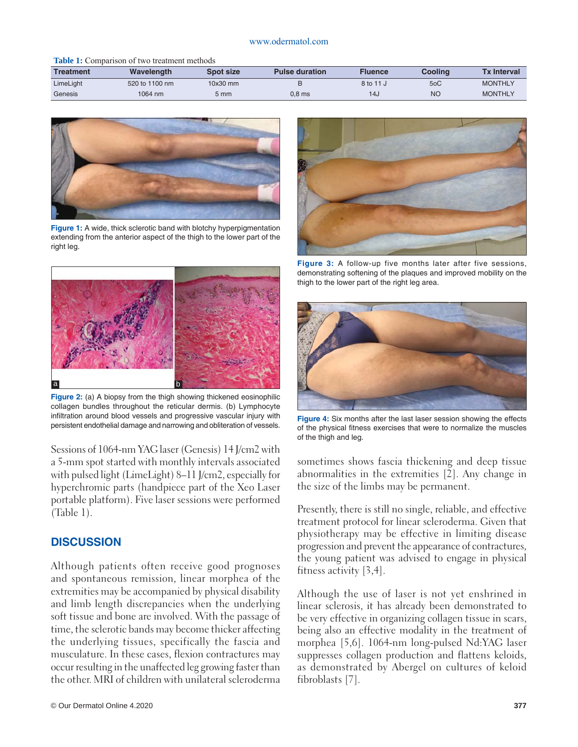#### www.odermatol.com

#### **Table 1:** Comparison of two treatment methods

| <b>Treatment</b> | Wavelength     | Spot size  | <b>Pulse duration</b> | Fluence         | Cooling | <b>Tx Interval</b> |
|------------------|----------------|------------|-----------------------|-----------------|---------|--------------------|
| LimeLight        | 520 to 1100 nm | $10x30$ mm |                       | 8 to 11 J       | 5oC     | <b>MONTHLY</b>     |
| Genesis          | 1064 nm        | 5 mm       | 0.8 <sub>ms</sub>     | 14 <sub>u</sub> | NC      | <b>MONTHLY</b>     |



**Figure 1:** A wide, thick sclerotic band with blotchy hyperpigmentation extending from the anterior aspect of the thigh to the lower part of the right leg.



**Figure 2:** (a) A biopsy from the thigh showing thickened eosinophilic collagen bundles throughout the reticular dermis. (b) Lymphocyte infiltration around blood vessels and progressive vascular injury with persistent endothelial damage and narrowing and obliteration of vessels.

Sessions of 1064-nm YAG laser (Genesis) 14 J/cm2 with a 5-mm spot started with monthly intervals associated with pulsed light (LimeLight) 8–11 J/cm2, especially for hyperchromic parts (handpiece part of the Xeo Laser portable platform). Five laser sessions were performed (Table 1).

# **DISCUSSION**

Although patients often receive good prognoses and spontaneous remission, linear morphea of the extremities may be accompanied by physical disability and limb length discrepancies when the underlying soft tissue and bone are involved. With the passage of time, the sclerotic bands may become thicker affecting the underlying tissues, specifically the fascia and musculature. In these cases, flexion contractures may occur resulting in the unaffected leg growing faster than the other. MRI of children with unilateral scleroderma



**Figure 3:** A follow-up five months later after five sessions, demonstrating softening of the plaques and improved mobility on the thigh to the lower part of the right leg area.



**Figure 4:** Six months after the last laser session showing the effects of the physical fitness exercises that were to normalize the muscles of the thigh and leg.

sometimes shows fascia thickening and deep tissue abnormalities in the extremities [2]. Any change in the size of the limbs may be permanent.

Presently, there is still no single, reliable, and effective treatment protocol for linear scleroderma. Given that physiotherapy may be effective in limiting disease progression and prevent the appearance of contractures, the young patient was advised to engage in physical fitness activity [3,4].

Although the use of laser is not yet enshrined in linear sclerosis, it has already been demonstrated to be very effective in organizing collagen tissue in scars, being also an effective modality in the treatment of morphea [5,6]. 1064-nm long-pulsed Nd:YAG laser suppresses collagen production and flattens keloids, as demonstrated by Abergel on cultures of keloid fibroblasts [7].